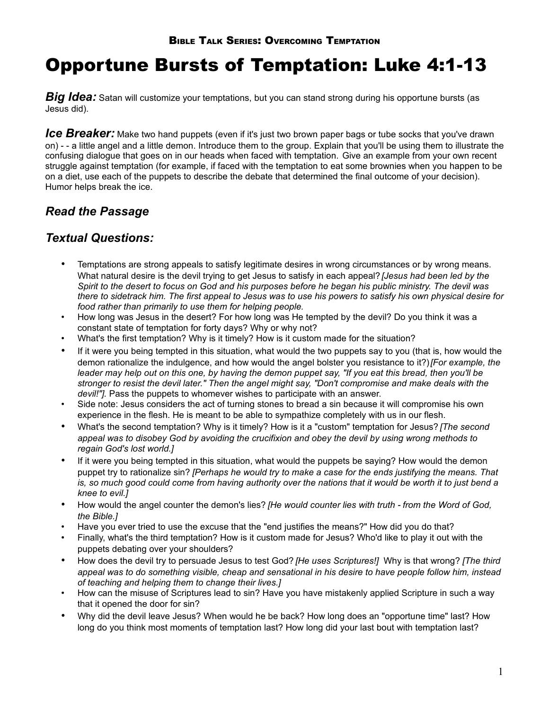## Opportune Bursts of Temptation: Luke 4:1-13

**Big Idea:** Satan will customize your temptations, but you can stand strong during his opportune bursts (as Jesus did).

Ice Breaker: Make two hand puppets (even if it's just two brown paper bags or tube socks that you've drawn on) - - a little angel and a little demon. Introduce them to the group. Explain that you'll be using them to illustrate the confusing dialogue that goes on in our heads when faced with temptation. Give an example from your own recent struggle against temptation (for example, if faced with the temptation to eat some brownies when you happen to be on a diet, use each of the puppets to describe the debate that determined the final outcome of your decision). Humor helps break the ice.

#### *Read the Passage*

#### *Textual Questions:*

- Temptations are strong appeals to satisfy legitimate desires in wrong circumstances or by wrong means. What natural desire is the devil trying to get Jesus to satisfy in each appeal? *[Jesus had been led by the Spirit to the desert to focus on God and his purposes before he began his public ministry. The devil was there to sidetrack him. The first appeal to Jesus was to use his powers to satisfy his own physical desire for food rather than primarily to use them for helping people.*
- How long was Jesus in the desert? For how long was He tempted by the devil? Do you think it was a constant state of temptation for forty days? Why or why not?
- What's the first temptation? Why is it timely? How is it custom made for the situation?
- If it were you being tempted in this situation, what would the two puppets say to you (that is, how would the demon rationalize the indulgence, and how would the angel bolster you resistance to it?) *[For example, the leader may help out on this one, by having the demon puppet say, "If you eat this bread, then you'll be stronger to resist the devil later." Then the angel might say, "Don't compromise and make deals with the devil!"].* Pass the puppets to whomever wishes to participate with an answer.
- Side note: Jesus considers the act of turning stones to bread a sin because it will compromise his own experience in the flesh. He is meant to be able to sympathize completely with us in our flesh.
- What's the second temptation? Why is it timely? How is it a "custom" temptation for Jesus? *[The second appeal was to disobey God by avoiding the crucifixion and obey the devil by using wrong methods to regain God's lost world.]*
- If it were you being tempted in this situation, what would the puppets be saying? How would the demon puppet try to rationalize sin? *[Perhaps he would try to make a case for the ends justifying the means. That is, so much good could come from having authority over the nations that it would be worth it to just bend a knee to evil.]*
- How would the angel counter the demon's lies? *[He would counter lies with truth - from the Word of God, the Bible.]*
- Have you ever tried to use the excuse that the "end justifies the means?" How did you do that?
- Finally, what's the third temptation? How is it custom made for Jesus? Who'd like to play it out with the puppets debating over your shoulders?
- How does the devil try to persuade Jesus to test God? *[He uses Scriptures!]* Why is that wrong? *[The third appeal was to do something visible, cheap and sensational in his desire to have people follow him, instead of teaching and helping them to change their lives.]*
- How can the misuse of Scriptures lead to sin? Have you have mistakenly applied Scripture in such a way that it opened the door for sin?
- Why did the devil leave Jesus? When would he be back? How long does an "opportune time" last? How long do you think most moments of temptation last? How long did your last bout with temptation last?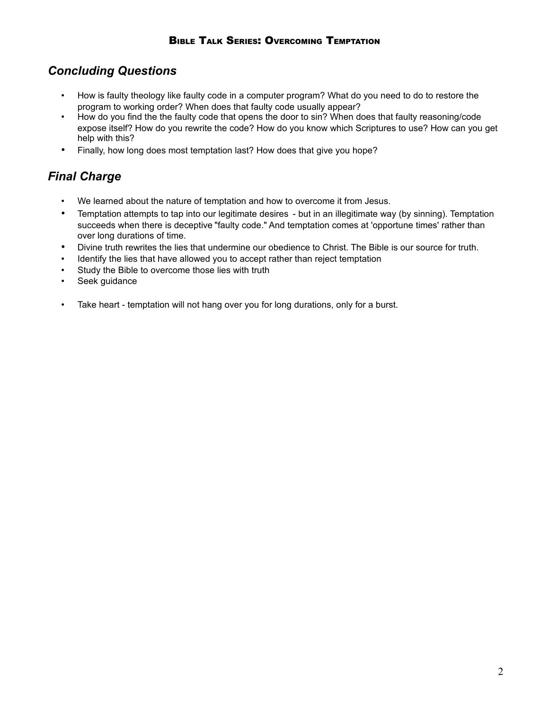## *Concluding Questions*

- How is faulty theology like faulty code in a computer program? What do you need to do to restore the program to working order? When does that faulty code usually appear?
- How do you find the the faulty code that opens the door to sin? When does that faulty reasoning/code expose itself? How do you rewrite the code? How do you know which Scriptures to use? How can you get help with this?
- Finally, how long does most temptation last? How does that give you hope?

## *Final Charge*

- We learned about the nature of temptation and how to overcome it from Jesus.
- Temptation attempts to tap into our legitimate desires but in an illegitimate way (by sinning). Temptation succeeds when there is deceptive "faulty code." And temptation comes at 'opportune times' rather than over long durations of time.
- Divine truth rewrites the lies that undermine our obedience to Christ. The Bible is our source for truth.
- Identify the lies that have allowed you to accept rather than reject temptation
- Study the Bible to overcome those lies with truth
- Seek guidance
- Take heart temptation will not hang over you for long durations, only for a burst.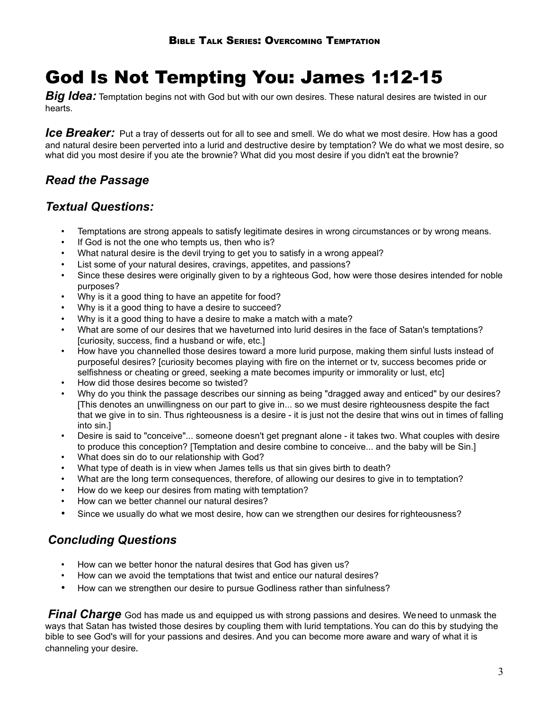## God Is Not Tempting You: James 1:12-15

**Big Idea:** Temptation begins not with God but with our own desires. These natural desires are twisted in our hearts.

*Ice Breaker:* Put a tray of desserts out for all to see and smell. We do what we most desire. How has a good and natural desire been perverted into a lurid and destructive desire by temptation? We do what we most desire, so what did you most desire if you ate the brownie? What did you most desire if you didn't eat the brownie?

### *Read the Passage*

#### *Textual Questions:*

- Temptations are strong appeals to satisfy legitimate desires in wrong circumstances or by wrong means.
- If God is not the one who tempts us, then who is?
- What natural desire is the devil trying to get you to satisfy in a wrong appeal?
- List some of your natural desires, cravings, appetites, and passions?
- Since these desires were originally given to by a righteous God, how were those desires intended for noble purposes?
- Why is it a good thing to have an appetite for food?
- Why is it a good thing to have a desire to succeed?
- Why is it a good thing to have a desire to make a match with a mate?
- What are some of our desires that we haveturned into lurid desires in the face of Satan's temptations? [curiosity, success, find a husband or wife, etc.]
- How have you channelled those desires toward a more lurid purpose, making them sinful lusts instead of purposeful desires? [curiosity becomes playing with fire on the internet or tv, success becomes pride or selfishness or cheating or greed, seeking a mate becomes impurity or immorality or lust, etc]
- How did those desires become so twisted?
- Why do you think the passage describes our sinning as being "dragged away and enticed" by our desires? [This denotes an unwillingness on our part to give in... so we must desire righteousness despite the fact that we give in to sin. Thus righteousness is a desire - it is just not the desire that wins out in times of falling into sin.]
- Desire is said to "conceive"... someone doesn't get pregnant alone it takes two. What couples with desire to produce this conception? [Temptation and desire combine to conceive... and the baby will be Sin.]
- What does sin do to our relationship with God?
- What type of death is in view when James tells us that sin gives birth to death?
- What are the long term consequences, therefore, of allowing our desires to give in to temptation?
- How do we keep our desires from mating with temptation?
- How can we better channel our natural desires?
- Since we usually do what we most desire, how can we strengthen our desires for righteousness?

## *Concluding Questions*

- How can we better honor the natural desires that God has given us?
- How can we avoid the temptations that twist and entice our natural desires?
- How can we strengthen our desire to pursue Godliness rather than sinfulness?

*Final Charge* God has made us and equipped us with strong passions and desires. Weneed to unmask the ways that Satan has twisted those desires by coupling them with lurid temptations. You can do this by studying the bible to see God's will for your passions and desires. And you can become more aware and wary of what it is channeling your desire.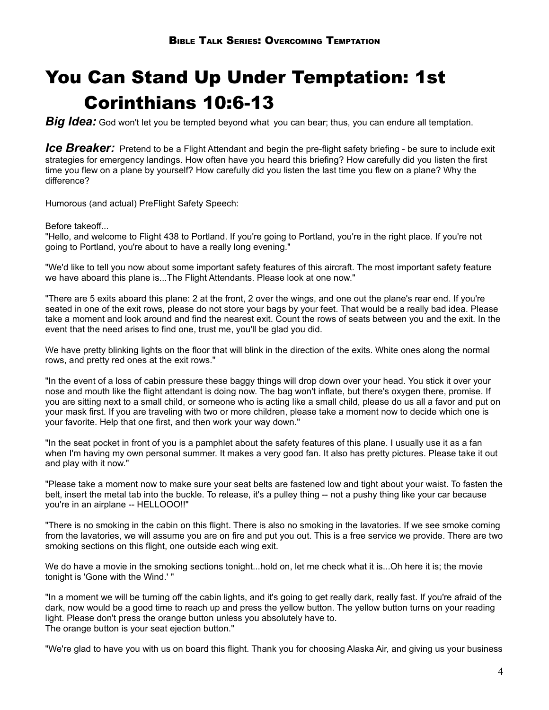# You Can Stand Up Under Temptation: 1st Corinthians 10:6-13

*Big Idea:* God won't let you be tempted beyond what you can bear; thus, you can endure all temptation.

Ice Breaker: Pretend to be a Flight Attendant and begin the pre-flight safety briefing - be sure to include exit strategies for emergency landings. How often have you heard this briefing? How carefully did you listen the first time you flew on a plane by yourself? How carefully did you listen the last time you flew on a plane? Why the difference?

Humorous (and actual) PreFlight Safety Speech:

#### Before takeoff...

"Hello, and welcome to Flight 438 to Portland. If you're going to Portland, you're in the right place. If you're not going to Portland, you're about to have a really long evening."

"We'd like to tell you now about some important safety features of this aircraft. The most important safety feature we have aboard this plane is...The Flight Attendants. Please look at one now."

"There are 5 exits aboard this plane: 2 at the front, 2 over the wings, and one out the plane's rear end. If you're seated in one of the exit rows, please do not store your bags by your feet. That would be a really bad idea. Please take a moment and look around and find the nearest exit. Count the rows of seats between you and the exit. In the event that the need arises to find one, trust me, you'll be glad you did.

We have pretty blinking lights on the floor that will blink in the direction of the exits. White ones along the normal rows, and pretty red ones at the exit rows."

"In the event of a loss of cabin pressure these baggy things will drop down over your head. You stick it over your nose and mouth like the flight attendant is doing now. The bag won't inflate, but there's oxygen there, promise. If you are sitting next to a small child, or someone who is acting like a small child, please do us all a favor and put on your mask first. If you are traveling with two or more children, please take a moment now to decide which one is your favorite. Help that one first, and then work your way down."

"In the seat pocket in front of you is a pamphlet about the safety features of this plane. I usually use it as a fan when I'm having my own personal summer. It makes a very good fan. It also has pretty pictures. Please take it out and play with it now."

"Please take a moment now to make sure your seat belts are fastened low and tight about your waist. To fasten the belt, insert the metal tab into the buckle. To release, it's a pulley thing -- not a pushy thing like your car because you're in an airplane -- HELLOOO!!"

"There is no smoking in the cabin on this flight. There is also no smoking in the lavatories. If we see smoke coming from the lavatories, we will assume you are on fire and put you out. This is a free service we provide. There are two smoking sections on this flight, one outside each wing exit.

We do have a movie in the smoking sections tonight...hold on, let me check what it is...Oh here it is; the movie tonight is 'Gone with the Wind.' "

"In a moment we will be turning off the cabin lights, and it's going to get really dark, really fast. If you're afraid of the dark, now would be a good time to reach up and press the yellow button. The yellow button turns on your reading light. Please don't press the orange button unless you absolutely have to. The orange button is your seat ejection button."

"We're glad to have you with us on board this flight. Thank you for choosing Alaska Air, and giving us your business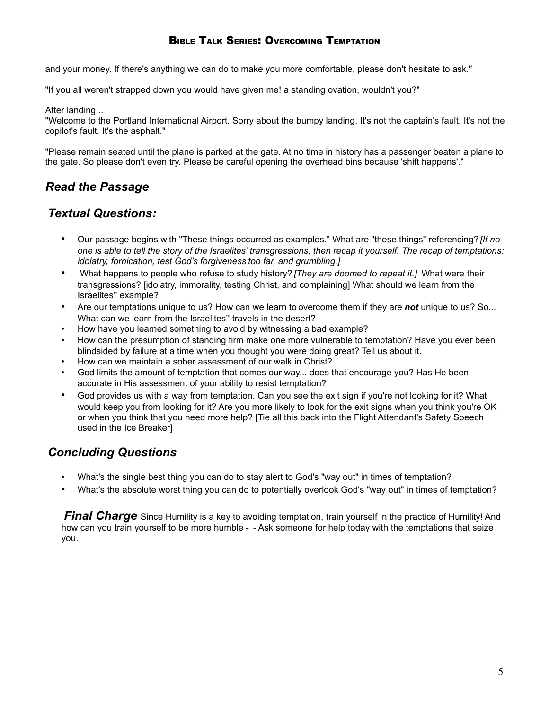and your money. If there's anything we can do to make you more comfortable, please don't hesitate to ask."

"If you all weren't strapped down you would have given me! a standing ovation, wouldn't you?"

After landing...

"Welcome to the Portland International Airport. Sorry about the bumpy landing. It's not the captain's fault. It's not the copilot's fault. It's the asphalt."

"Please remain seated until the plane is parked at the gate. At no time in history has a passenger beaten a plane to the gate. So please don't even try. Please be careful opening the overhead bins because 'shift happens'."

### *Read the Passage*

#### *Textual Questions:*

- Our passage begins with "These things occurred as examples." What are "these things" referencing? *[If no one is able to tell the story of the Israelites' transgressions, then recap it yourself. The recap of temptations: idolatry, fornication, test God's forgiveness too far, and grumbling.]*
- What happens to people who refuse to study history? *[They are doomed to repeat it.]* What were their transgressions? [idolatry, immorality, testing Christ, and complaining] What should we learn from the Israelites'' example?
- Are our temptations unique to us? How can we learn to overcome them if they are **not** unique to us? So... What can we learn from the Israelites'' travels in the desert?
- How have you learned something to avoid by witnessing a bad example?
- How can the presumption of standing firm make one more vulnerable to temptation? Have you ever been blindsided by failure at a time when you thought you were doing great? Tell us about it.
- How can we maintain a sober assessment of our walk in Christ?
- God limits the amount of temptation that comes our way... does that encourage you? Has He been accurate in His assessment of your ability to resist temptation?
- God provides us with a way from temptation. Can you see the exit sign if you're not looking for it? What would keep you from looking for it? Are you more likely to look for the exit signs when you think you're OK or when you think that you need more help? [Tie all this back into the Flight Attendant's Safety Speech used in the Ice Breaker]

## *Concluding Questions*

- What's the single best thing you can do to stay alert to God's "way out" in times of temptation?
- What's the absolute worst thing you can do to potentially overlook God's "way out" in times of temptation?

*Final Charge Since Humility is a key to avoiding temptation, train yourself in the practice of Humility! And* how can you train yourself to be more humble - - Ask someone for help today with the temptations that seize you.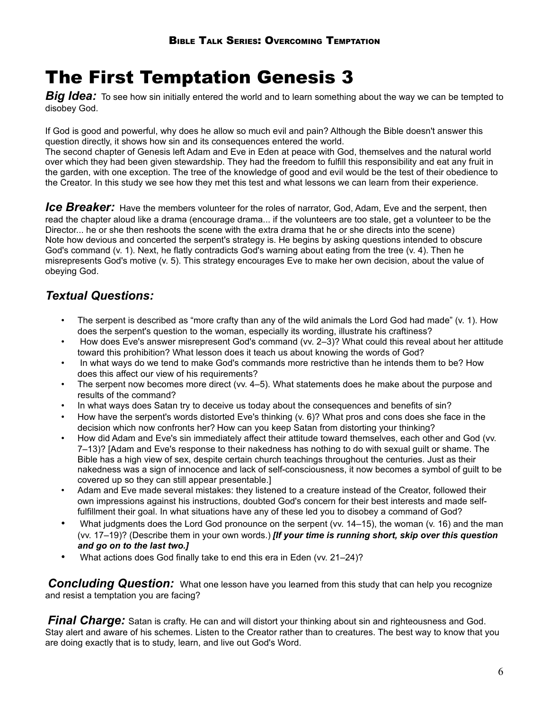## The First Temptation Genesis 3

**Big Idea:** To see how sin initially entered the world and to learn something about the way we can be tempted to disobey God.

If God is good and powerful, why does he allow so much evil and pain? Although the Bible doesn't answer this question directly, it shows how sin and its consequences entered the world.

The second chapter of Genesis left Adam and Eve in Eden at peace with God, themselves and the natural world over which they had been given stewardship. They had the freedom to fulfill this responsibility and eat any fruit in the garden, with one exception. The tree of the knowledge of good and evil would be the test of their obedience to the Creator. In this study we see how they met this test and what lessons we can learn from their experience.

*Ice Breaker:* Have the members volunteer for the roles of narrator, God, Adam, Eve and the serpent, then read the chapter aloud like a drama (encourage drama... if the volunteers are too stale, get a volunteer to be the Director... he or she then reshoots the scene with the extra drama that he or she directs into the scene) Note how devious and concerted the serpent's strategy is. He begins by asking questions intended to obscure God's command (v. 1). Next, he flatly contradicts God's warning about eating from the tree (v. 4). Then he misrepresents God's motive (v. 5). This strategy encourages Eve to make her own decision, about the value of obeying God.

## *Textual Questions:*

- The serpent is described as "more crafty than any of the wild animals the Lord God had made" (v. 1). How does the serpent's question to the woman, especially its wording, illustrate his craftiness?
- How does Eve's answer misrepresent God's command (vv. 2–3)? What could this reveal about her attitude toward this prohibition? What lesson does it teach us about knowing the words of God?
- In what ways do we tend to make God's commands more restrictive than he intends them to be? How does this affect our view of his requirements?
- The serpent now becomes more direct (vv. 4–5). What statements does he make about the purpose and results of the command?
- In what ways does Satan try to deceive us today about the consequences and benefits of sin?
- How have the serpent's words distorted Eve's thinking (v. 6)? What pros and cons does she face in the decision which now confronts her? How can you keep Satan from distorting your thinking?
- How did Adam and Eve's sin immediately affect their attitude toward themselves, each other and God (vv. 7–13)? [Adam and Eve's response to their nakedness has nothing to do with sexual guilt or shame. The Bible has a high view of sex, despite certain church teachings throughout the centuries. Just as their nakedness was a sign of innocence and lack of self-consciousness, it now becomes a symbol of guilt to be covered up so they can still appear presentable.]
- Adam and Eve made several mistakes: they listened to a creature instead of the Creator, followed their own impressions against his instructions, doubted God's concern for their best interests and made selffulfillment their goal. In what situations have any of these led you to disobey a command of God?
- What judgments does the Lord God pronounce on the serpent (vv. 14–15), the woman (v. 16) and the man (vv. 17–19)? (Describe them in your own words.) *[If your time is running short, skip over this question and go on to the last two.]*
- What actions does God finally take to end this era in Eden (vv. 21–24)?

**Concluding Question:** What one lesson have you learned from this study that can help you recognize and resist a temptation you are facing?

**Final Charge:** Satan is crafty. He can and will distort your thinking about sin and righteousness and God. Stay alert and aware of his schemes. Listen to the Creator rather than to creatures. The best way to know that you are doing exactly that is to study, learn, and live out God's Word.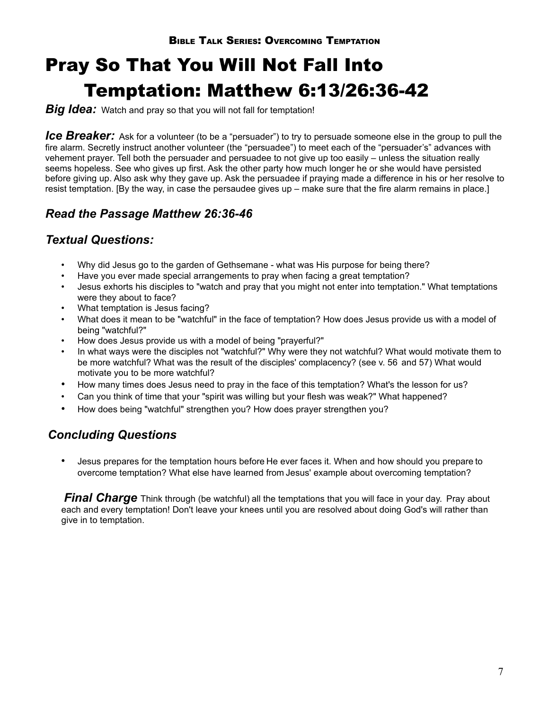# Pray So That You Will Not Fall Into Temptation: Matthew 6:13/26:36-42

**Big Idea:** Watch and pray so that you will not fall for temptation!

*Ice Breaker:* Ask for a volunteer (to be a "persuader") to try to persuade someone else in the group to pull the fire alarm. Secretly instruct another volunteer (the "persuadee") to meet each of the "persuader's" advances with vehement prayer. Tell both the persuader and persuadee to not give up too easily – unless the situation really seems hopeless. See who gives up first. Ask the other party how much longer he or she would have persisted before giving up. Also ask why they gave up. Ask the persuadee if praying made a difference in his or her resolve to resist temptation. [By the way, in case the persaudee gives up – make sure that the fire alarm remains in place.]

#### *Read the Passage Matthew 26:36-46*

#### *Textual Questions:*

- Why did Jesus go to the garden of Gethsemane what was His purpose for being there?
- Have you ever made special arrangements to pray when facing a great temptation?
- Jesus exhorts his disciples to "watch and pray that you might not enter into temptation." What temptations were they about to face?
- What temptation is Jesus facing?
- What does it mean to be "watchful" in the face of temptation? How does Jesus provide us with a model of being "watchful?"
- How does Jesus provide us with a model of being "prayerful?"
- In what ways were the disciples not "watchful?" Why were they not watchful? What would motivate them to be more watchful? What was the result of the disciples' complacency? (see v. 56 and 57) What would motivate you to be more watchful?
- How many times does Jesus need to pray in the face of this temptation? What's the lesson for us?
- Can you think of time that your "spirit was willing but your flesh was weak?" What happened?
- How does being "watchful" strengthen you? How does prayer strengthen you?

## *Concluding Questions*

• Jesus prepares for the temptation hours before He ever faces it. When and how should you prepare to overcome temptation? What else have learned from Jesus' example about overcoming temptation?

*Final Charge* Think through (be watchful) all the temptations that you will face in your day. Pray about each and every temptation! Don't leave your knees until you are resolved about doing God's will rather than give in to temptation.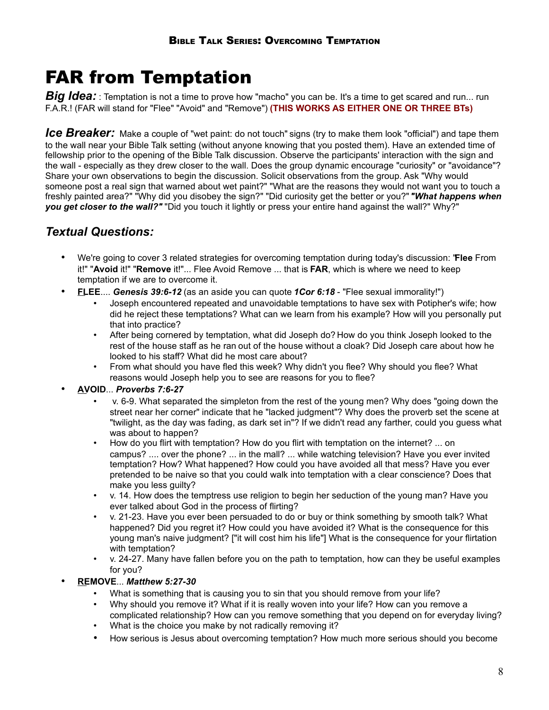## FAR from Temptation

**Big Idea:** : Temptation is not a time to prove how "macho" you can be. It's a time to get scared and run... run F.A.R.! (FAR will stand for "Flee" "Avoid" and "Remove") **(THIS WORKS AS EITHER ONE OR THREE BTs)**

*Ice Breaker:* Make a couple of "wet paint: do not touch" signs (try to make them look "official") and tape them to the wall near your Bible Talk setting (without anyone knowing that you posted them). Have an extended time of fellowship prior to the opening of the Bible Talk discussion. Observe the participants' interaction with the sign and the wall - especially as they drew closer to the wall. Does the group dynamic encourage "curiosity" or "avoidance"? Share your own observations to begin the discussion. Solicit observations from the group. Ask "Why would someone post a real sign that warned about wet paint?" "What are the reasons they would not want you to touch a freshly painted area?" "Why did you disobey the sign?" "Did curiosity get the better or you?" *"What happens when you get closer to the wall?"* "Did you touch it lightly or press your entire hand against the wall?" Why?"

## *Textual Questions:*

- We're going to cover 3 related strategies for overcoming temptation during today's discussion: "**Flee** From it!" "**Avoid** it!" "**Remove** it!"... Flee Avoid Remove ... that is **FAR**, which is where we need to keep temptation if we are to overcome it.
- • **FLEE**.... *Genesis 39:6-12* (as an aside you can quote *1Cor 6:18* "Flee sexual immorality!")
	- Joseph encountered repeated and unavoidable temptations to have sex with Potipher's wife; how did he reject these temptations? What can we learn from his example? How will you personally put that into practice?
	- After being cornered by temptation, what did Joseph do? How do you think Joseph looked to the rest of the house staff as he ran out of the house without a cloak? Did Joseph care about how he looked to his staff? What did he most care about?
	- From what should you have fled this week? Why didn't you flee? Why should you flee? What reasons would Joseph help you to see are reasons for you to flee?
- • **AVOID**... *Proverbs 7:6-27*
	- v. 6-9. What separated the simpleton from the rest of the young men? Why does "going down the street near her corner" indicate that he "lacked judgment"? Why does the proverb set the scene at "twilight, as the day was fading, as dark set in"? If we didn't read any farther, could you guess what was about to happen?
	- How do you flirt with temptation? How do you flirt with temptation on the internet? ... on campus? .... over the phone? ... in the mall? ... while watching television? Have you ever invited temptation? How? What happened? How could you have avoided all that mess? Have you ever pretended to be naive so that you could walk into temptation with a clear conscience? Does that make you less guilty?
	- v. 14. How does the temptress use religion to begin her seduction of the young man? Have you ever talked about God in the process of flirting?
	- v. 21-23. Have you ever been persuaded to do or buy or think something by smooth talk? What happened? Did you regret it? How could you have avoided it? What is the consequence for this young man's naive judgment? ["it will cost him his life"] What is the consequence for your flirtation with temptation?
	- v. 24-27. Many have fallen before you on the path to temptation, how can they be useful examples for you?

#### • **REMOVE**... *Matthew 5:27-30*

- What is something that is causing you to sin that you should remove from your life?
- Why should you remove it? What if it is really woven into your life? How can you remove a complicated relationship? How can you remove something that you depend on for everyday living?
- What is the choice you make by not radically removing it?
- How serious is Jesus about overcoming temptation? How much more serious should you become